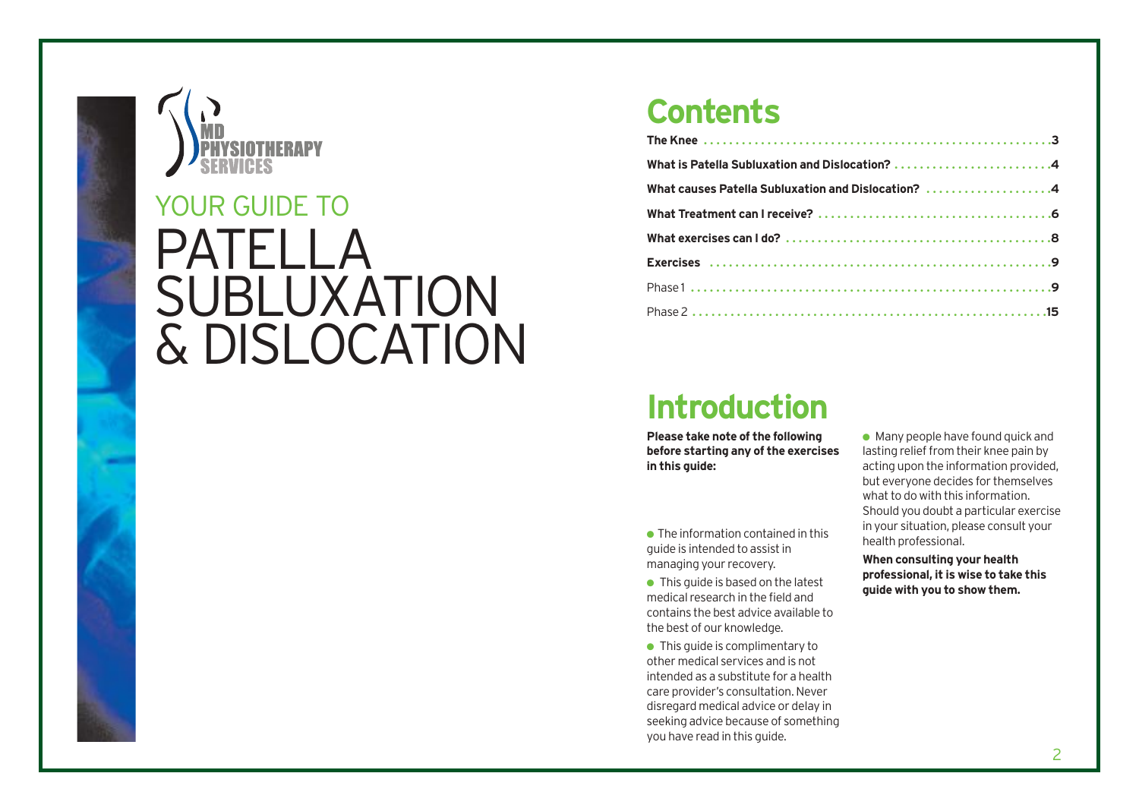

# PATELLA SUBLUXATION & DISLOCATION YOUR GUIDE TO

### **Contents**

| What is Patella Subluxation and Dislocation? 4     |
|----------------------------------------------------|
| What causes Patella Subluxation and Dislocation? 4 |
|                                                    |
|                                                    |
|                                                    |
|                                                    |
|                                                    |

### **Introduction**

**Please take note of the following before starting any of the exercises in this guide:**

 $\bullet$  The information contained in this guide is intended to assist in managing your recovery.

 $\bullet$  This guide is based on the latest medical research in the field and contains the best advice available to the best of our knowledge.

● This quide is complimentary to other medical services and is not intended as a substitute for a health care provider's consultation. Never disregard medical advice or delay in seeking advice because of something you have read in this guide.

 $\bullet$  Many people have found quick and lasting relief from their knee pain by acting upon the information provided, but everyone decides for themselves what to do with this information. Should you doubt a particular exercise in your situation, please consult your health professional.

**When consulting your health professional, it is wise to take this guide with you to show them.**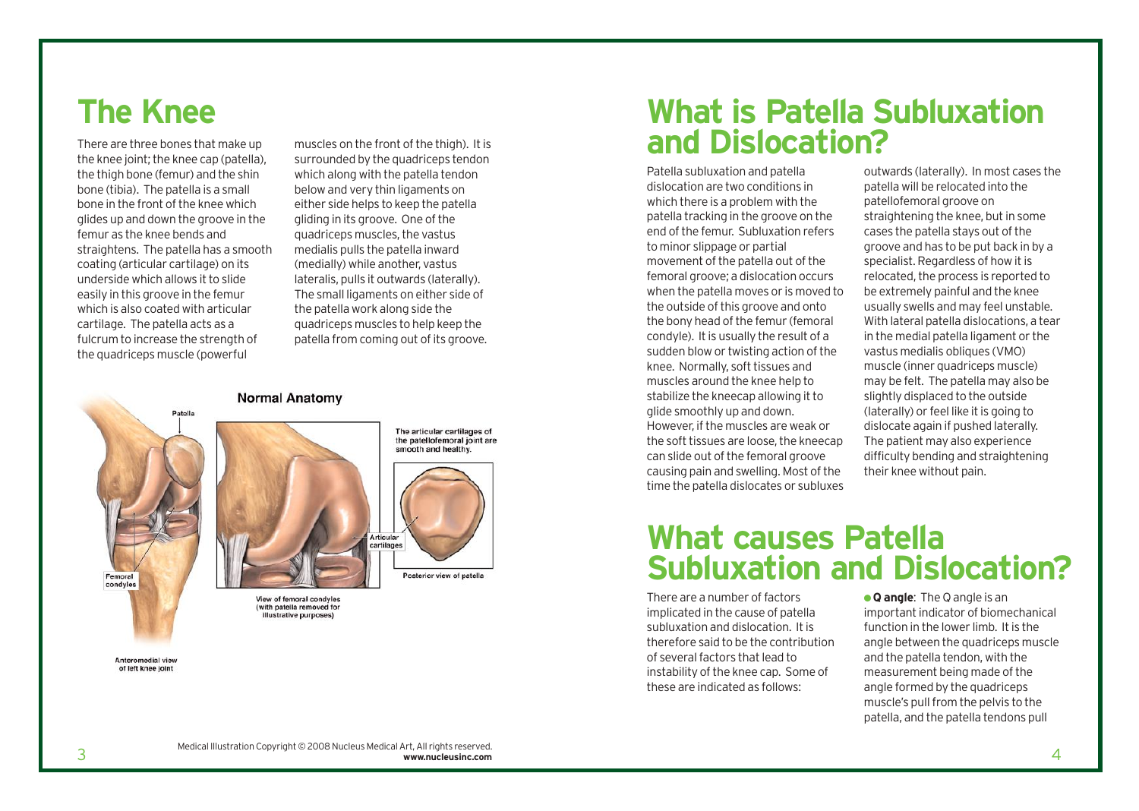### **The Knee**

There are three bones that make up the knee joint; the knee cap (patella), the thigh bone (femur) and the shin bone (tibia). The patella is a small bone in the front of the knee which glides up and down the groove in the femur as the knee bends and straightens. The patella has a smooth coating (articular cartilage) on its underside which allows it to slide easily in this groove in the femur which is also coated with articular cartilage. The patella acts as a fulcrum to increase the strength of the quadriceps muscle (powerful

muscles on the front of the thigh). It is surrounded by the quadriceps tendon which along with the patella tendon below and very thin ligaments on either side helps to keep the patella gliding in its groove. One of the quadriceps muscles, the vastus medialis pulls the patella inward (medially) while another, vastus lateralis, pulls it outwards (laterally). The small ligaments on either side of the patella work along side the quadriceps muscles to help keep the patella from coming out of its groove.

#### **Normal Anatomy**



Anteromedial view of left knee joint

### **What is Patella Subluxation and Dislocation?**

Patella subluxation and patella dislocation are two conditions in which there is a problem with the patella tracking in the groove on the end of the femur. Subluxation refers to minor slippage or partial movement of the patella out of the femoral groove; a dislocation occurs when the patella moves or is moved to the outside of this groove and onto the bony head of the femur (femoral condyle). It is usually the result of a sudden blow or twisting action of the knee. Normally, soft tissues and muscles around the knee help to stabilize the kneecap allowing it to glide smoothly up and down. However, if the muscles are weak or the soft tissues are loose, the kneecap can slide out of the femoral groove causing pain and swelling. Most of the time the patella dislocates or subluxes

outwards (laterally). In most cases the patella will be relocated into the patellofemoral groove on straightening the knee, but in some cases the patella stays out of the groove and has to be put back in by a specialist. Regardless of how it is relocated, the process is reported to be extremely painful and the knee usually swells and may feel unstable. With lateral patella dislocations, a tear in the medial patella ligament or the vastus medialis obliques (VMO) muscle (inner quadriceps muscle) may be felt. The patella may also be slightly displaced to the outside (laterally) or feel like it is going to dislocate again if pushed laterally. The patient may also experience difficulty bending and straightening their knee without pain.

### **What causes Patella Subluxation and Dislocation?**

There are a number of factors implicated in the cause of patella subluxation and dislocation. It is therefore said to be the contribution of several factors that lead to instability of the knee cap. Some of these are indicated as follows:

● **Q angle**: The Q angle is an important indicator of biomechanical function in the lower limb. It is the angle between the quadriceps muscle and the patella tendon, with the measurement being made of the angle formed by the quadriceps muscle's pull from the pelvis to the patella, and the patella tendons pull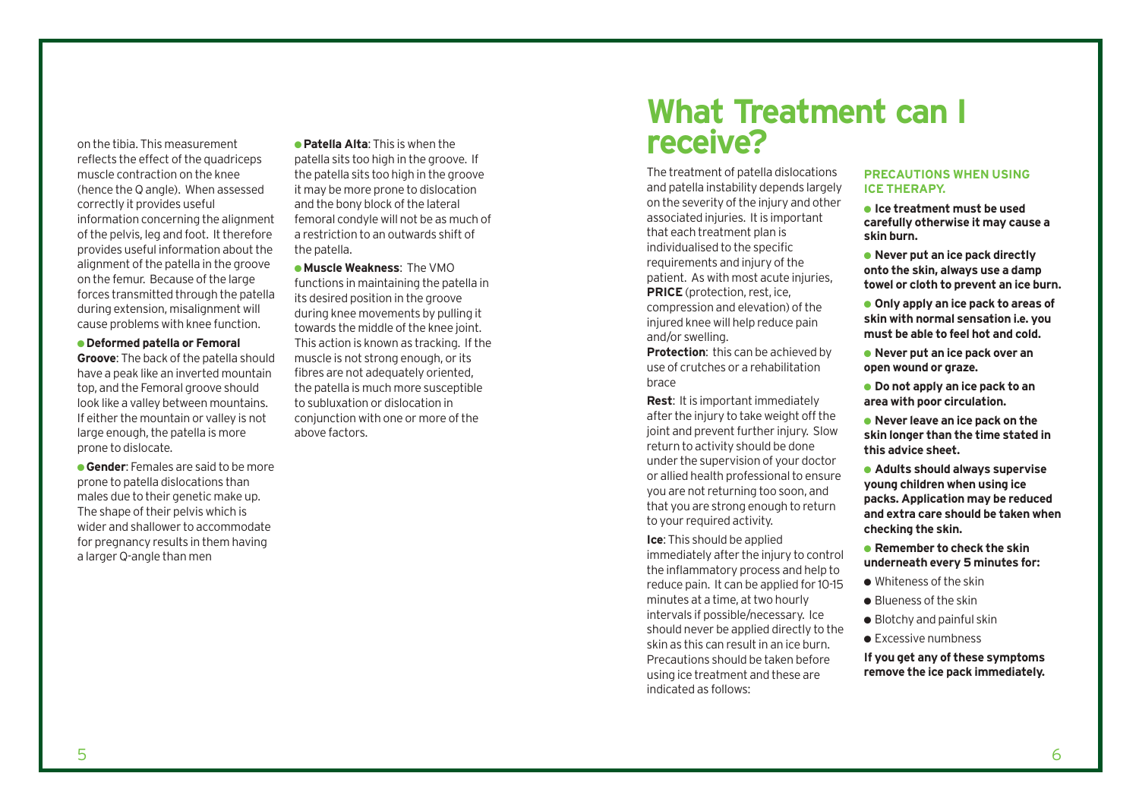on the tibia. This measurement reflects the effect of the quadriceps muscle contraction on the knee (hence the Q angle). When assessed correctly it provides useful information concerning the alignment of the pelvis, leg and foot. It therefore provides useful information about the alignment of the patella in the groove on the femur. Because of the large forces transmitted through the patella during extension, misalignment will cause problems with knee function.

#### ● **Deformed patella or Femoral**

**Groove**: The back of the patella should have a peak like an inverted mountain top, and the Femoral groove should look like a valley between mountains. If either the mountain or valley is not large enough, the patella is more prone to dislocate.

**• Gender:** Females are said to be more prone to patella dislocations than males due to their genetic make up. The shape of their pelvis which is wider and shallower to accommodate for pregnancy results in them having a larger Q-angle than men

● **Patella Alta**: This is when the patella sits too high in the groove. If the patella sits too high in the groove it may be more prone to dislocation and the bony block of the lateral femoral condyle will not be as much of a restriction to an outwards shift of the patella.

● **Muscle Weakness**: The VMO functions in maintaining the patella in its desired position in the groove during knee movements by pulling it towards the middle of the knee joint. This action is known as tracking. If the muscle is not strong enough, or its fibres are not adequately oriented, the patella is much more susceptible to subluxation or dislocation in conjunction with one or more of the above factors.

### **What Treatment can I receive?**

The treatment of patella dislocations and patella instability depends largely on the severity of the injury and other associated injuries. It is important that each treatment plan is individualised to the specific requirements and injury of the patient. As with most acute injuries, **PRICE** (protection, rest, ice, compression and elevation) of the injured knee will help reduce pain and/or swelling.

**Protection**: this can be achieved by use of crutches or a rehabilitation brace

**Rest**: It is important immediately after the injury to take weight off the joint and prevent further injury. Slow return to activity should be done under the supervision of your doctor or allied health professional to ensure you are not returning too soon, and that you are strong enough to return to your required activity.

**Ice**: This should be applied

immediately after the injury to control the inflammatory process and help to reduce pain. It can be applied for 10-15 minutes at a time, at two hourly intervals if possible/necessary. Ice should never be applied directly to the skin as this can result in an ice burn. Precautions should be taken before using ice treatment and these are indicated as follows:

#### **PRECAUTIONS WHEN USING ICE THERAPY.**

- **Ice treatment must be used carefully otherwise it may cause a skin burn.**
- **Never put an ice pack directly onto the skin, always use a damp towel or cloth to prevent an ice burn.**
- **Only apply an ice pack to areas of skin with normal sensation i.e. you must be able to feel hot and cold.**
- **Never put an ice pack over an open wound or graze.**
- **Do not apply an ice pack to an area with poor circulation.**
- **Never leave an ice pack on the skin longer than the time stated in this advice sheet.**
- **Adults should always supervise young children when using ice packs. Application may be reduced and extra care should be taken when checking the skin.**
- **Remember to check the skin underneath every 5 minutes for:**
- Whiteness of the skin
- Blueness of the skin
- $\bullet$  Blotchy and painful skin
- Excessive numbness

**If you get any of these symptoms remove the ice pack immediately.**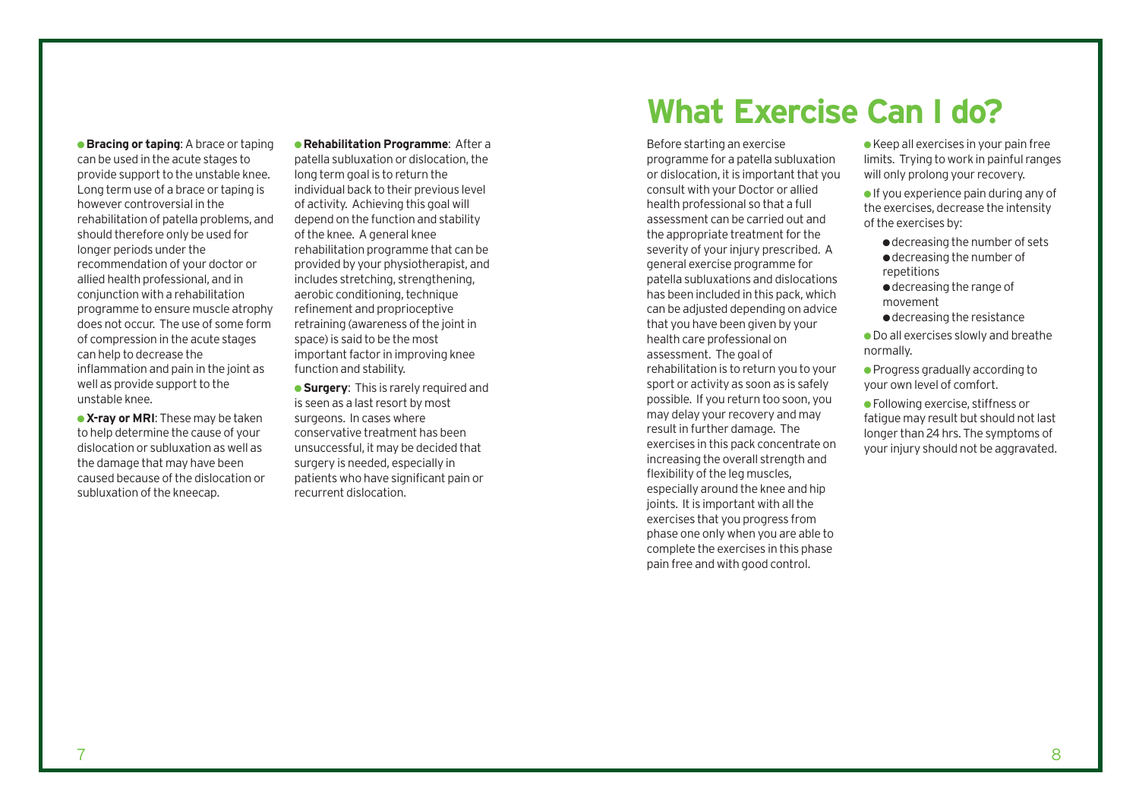**• Bracing or taping:** A brace or taping can be used in the acute stages to provide support to the unstable knee. Long term use of a brace or taping is however controversial in the rehabilitation of patella problems, and should therefore only be used for longer periods under the recommendation of your doctor or allied health professional, and in conjunction with a rehabilitation programme to ensure muscle atrophy does not occur. The use of some form of compression in the acute stages can help to decrease the inflammation and pain in the joint as well as provide support to the unstable knee.

**• X-ray or MRI:** These may be taken to help determine the cause of your dislocation or subluxation as well as the damage that may have been caused because of the dislocation or subluxation of the kneecap.

● **Rehabilitation Programme**: After a patella subluxation or dislocation, the long term goal is to return the individual back to their previous level of activity. Achieving this goal will depend on the function and stability of the knee. A general knee rehabilitation programme that can be provided by your physiotherapist, and includes stretching, strengthening, aerobic conditioning, technique refinement and proprioceptive retraining (awareness of the joint in space) is said to be the most important factor in improving knee function and stability.

● **Surgery**: This is rarely required and is seen as a last resort by most surgeons. In cases where conservative treatment has been unsuccessful, it may be decided that surgery is needed, especially in patients who have significant pain or recurrent dislocation.

# **What Exercise Can I do?**

Before starting an exercise programme for a patella subluxation or dislocation, it is important that you consult with your Doctor or allied health professional so that a full assessment can be carried out and the appropriate treatment for the severity of your injury prescribed. A general exercise programme for patella subluxations and dislocations has been included in this pack, which can be adjusted depending on advice that you have been given by your health care professional on assessment. The goal of rehabilitation is to return you to your sport or activity as soon as is safely possible. If you return too soon, you may delay your recovery and may result in further damage. The exercises in this pack concentrate on increasing the overall strength and flexibility of the leg muscles, especially around the knee and hip joints. It is important with all the exercises that you progress from phase one only when you are able to complete the exercises in this phase pain free and with good control.

● Keep all exercises in your pain free limits. Trying to work in painful ranges will only prolong your recovery.

● If you experience pain during any of the exercises, decrease the intensity of the exercises by:

- decreasing the number of sets
- ●decreasing the number of repetitions
- ●decreasing the range of movement
- ●decreasing the resistance

● Do all exercises slowly and breathe normally.

● Progress gradually according to your own level of comfort.

● Following exercise, stiffness or fatigue may result but should not last longer than 24 hrs. The symptoms of your injury should not be aggravated.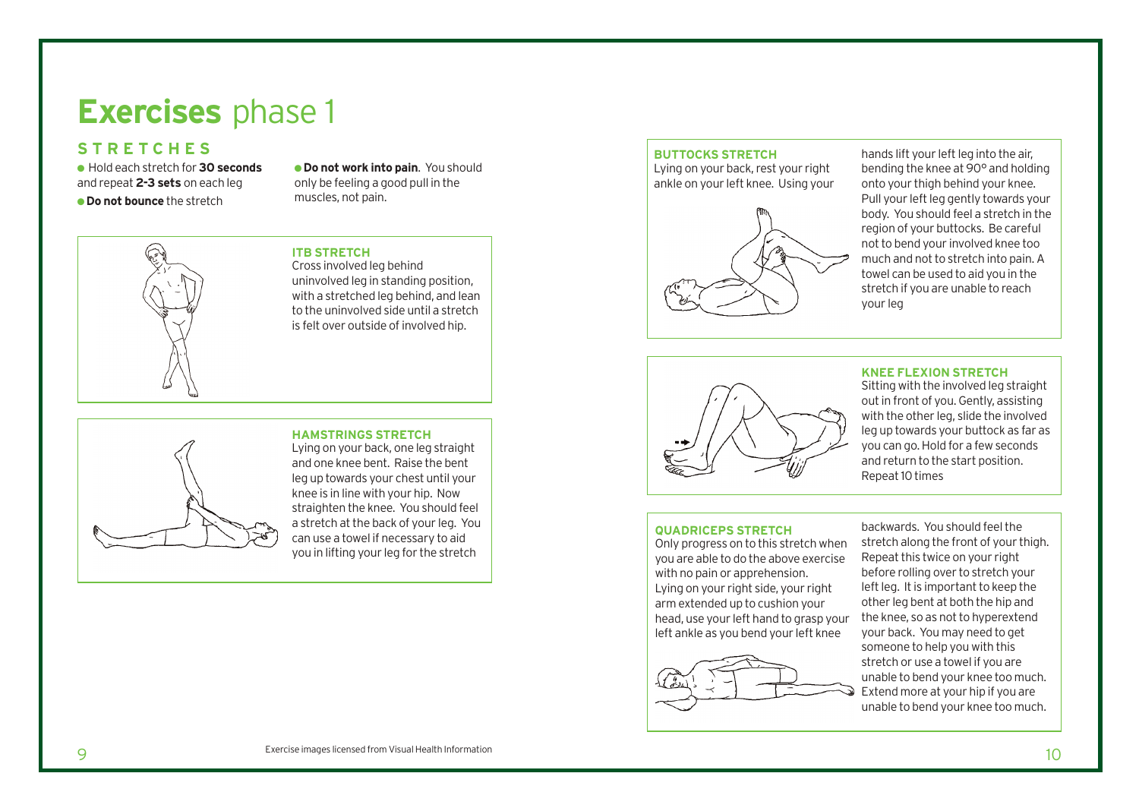# **Exercises** phase 1

### **STRETCHES**

● Hold each stretch for **30 seconds** and repeat **2-3 sets** on each leg ● **Do not bounce** the stretch

● **Do not work into pain**. You should only be feeling a good pull in the muscles, not pain.



#### **ITB STRETCH**

Cross involved leg behind uninvolved leg in standing position, with a stretched leg behind, and lean to the uninvolved side until a stretch is felt over outside of involved hip.

### **HAMSTRINGS STRETCH**

Lying on your back, one leg straight and one knee bent. Raise the bent leg up towards your chest until your knee is in line with your hip. Now straighten the knee. You should feel a stretch at the back of your leg. You can use a towel if necessary to aid you in lifting your leg for the stretch

#### **BUTTOCKS STRETCH**

Lying on your back, rest your right ankle on your left knee. Using your



hands lift your left leg into the air, bending the knee at 90° and holding onto your thigh behind your knee. Pull your left leg gently towards your body. You should feel a stretch in the region of your buttocks. Be careful not to bend your involved knee too much and not to stretch into pain. A towel can be used to aid you in the stretch if you are unable to reach your leg



**KNEE FLEXION STRETCH**

Sitting with the involved leg straight out in front of you. Gently, assisting with the other leg, slide the involved leg up towards your buttock as far as you can go. Hold for a few seconds and return to the start position. Repeat 10 times

#### **QUADRICEPS STRETCH**

Only progress on to this stretch when you are able to do the above exercise with no pain or apprehension. Lying on your right side, your right arm extended up to cushion your head, use your left hand to grasp your left ankle as you bend your left knee



backwards. You should feel the stretch along the front of your thigh. Repeat this twice on your right before rolling over to stretch your left leg. It is important to keep the other leg bent at both the hip and the knee, so as not to hyperextend your back. You may need to get someone to help you with this stretch or use a towel if you are unable to bend your knee too much. Extend more at your hip if you are unable to bend your knee too much.

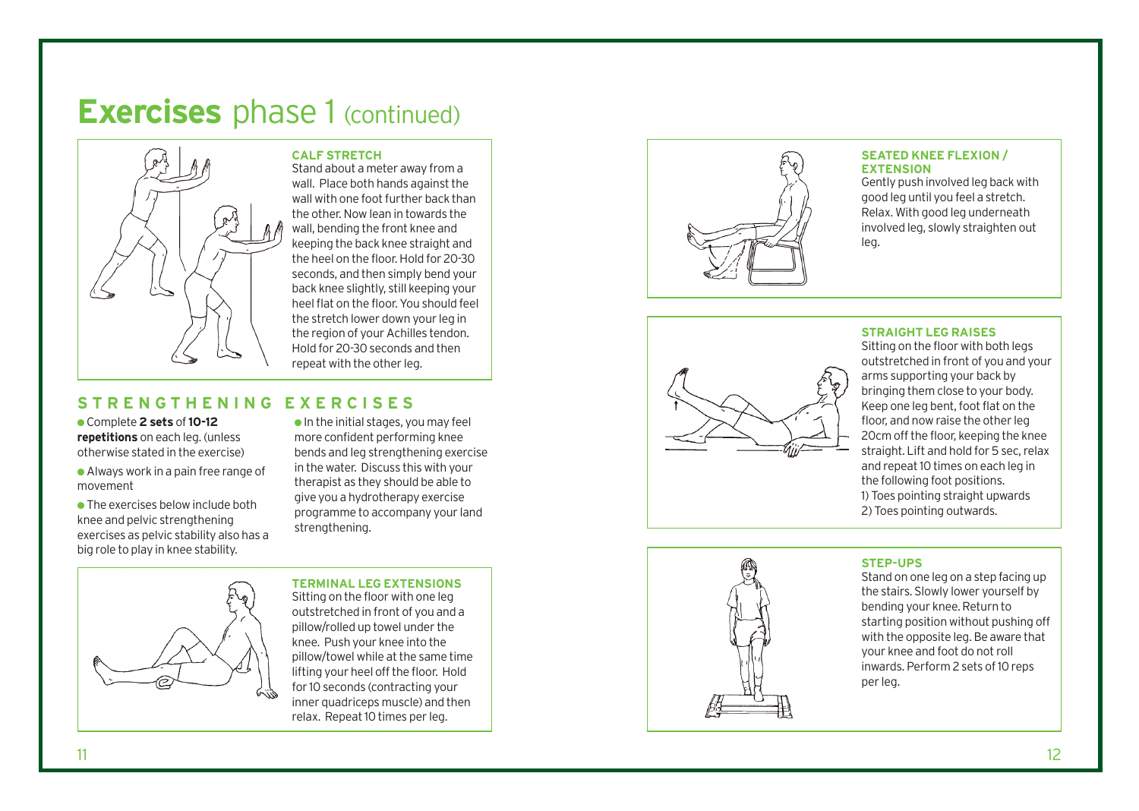## **Exercises** phase 1 (continued)



**CALF STRETCH** Stand about a meter away from a wall. Place both hands against the wall with one foot further back than the other. Now lean in towards the wall, bending the front knee and keeping the back knee straight and the heel on the floor. Hold for 20-30 seconds, and then simply bend your back knee slightly, still keeping your heel flat on the floor. You should feel the stretch lower down your leg in the region of your Achilles tendon. Hold for 20-30 seconds and then repeat with the other leg.

### **STRENGTHENING EXERCISES**

● Comple te **2 s e t s** of **10-12 repetitions** on each leg. (unless otherwise stated in the exercise)

● Always work in a pain free range of mo vemen t

● The exercises below include both knee and pelvic strengthening exercises as pelvic stability also has a big role to play in knee stability.

● In the initial s tages, you may feel more confident performing knee bends and leg strengthening exercise in the water. Dis cuss this with your therapist as they should be able to give you a hydrotherapy exercise programme to accompany your land strengthening.



**TERMINAL LEG EXTENSIONS** Sitting on the floor with one leg outstretched in front of you and a pillow/rolled up towel under the knee. Push your knee into the pillow/towel while at the same time lifting your heel off the floor. Hold for 10 seconds (contracting your inner quadriceps muscle) and then relax. Repeat 10 times per leg.



#### **SEATED KNEE FLEXION / EXTENSION**

Gently push involved leg back with good leg until you feel a stretch. Relax. With good leg underneath involved leg, slowly straighten out leg.



#### **STRAIGHT LEG RAISES**

Sitting on the floor with both legs out stretched in front of you and your arms supporting your back by bringing them close to your body. Keep one leg bent, foot flat on the floor, and now raise the other leg 20cm off the floor, keeping the knee straight. Lift and hold for 5 sec, relax and repeat 10 times on each leg in the following foot positions. 1) Toes pointing straight upwards 2) Toes pointing outwards.

### **STEP-UP S**

Stand on one leg on a step facing up the s tair s. Slowly lo wer yourself by bending your knee. Return to starting position without pushing off with the opposite leg. Be aware that your knee and foot do not roll inwards. Perform 2 sets of 10 reps per leg.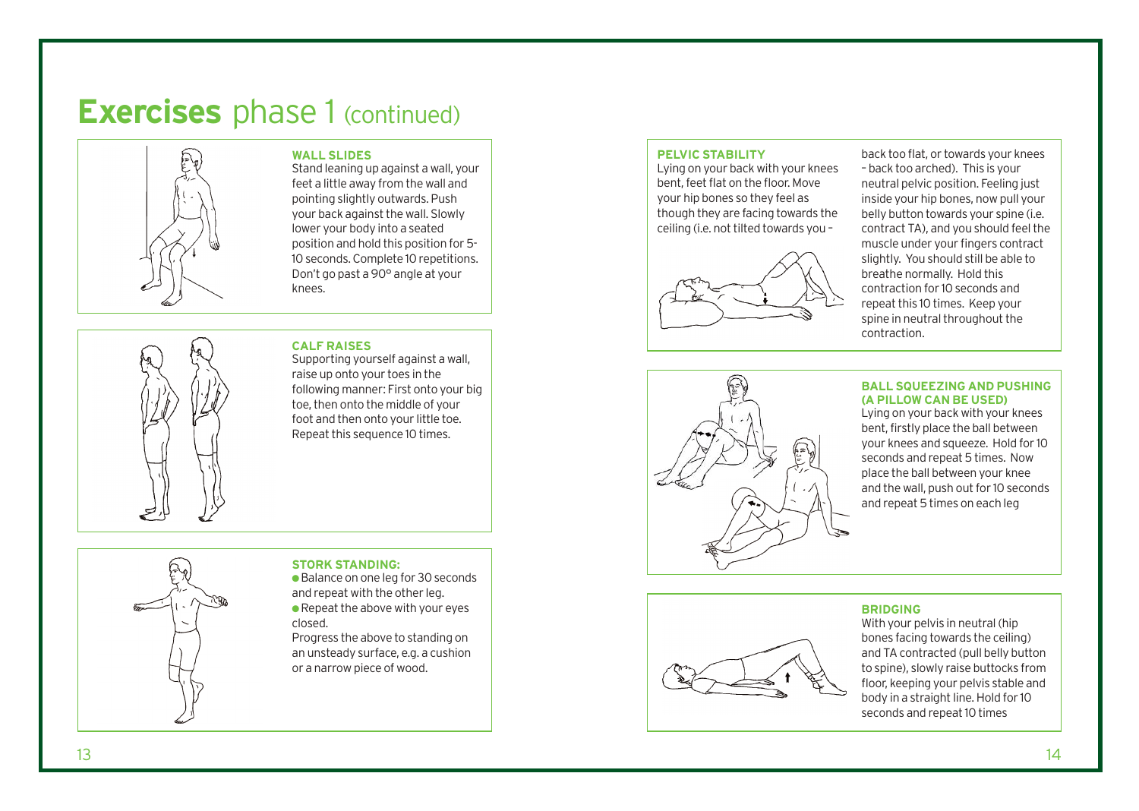# **Exercises** phase 1 (continued)



#### **WALL SLIDES**

Stand leaning up against a wall, your feet a little away from the wall and pointing slightly outwards. Push your back against the wall. Slowly lower your body into a seated position and hold this position for 5- 10 seconds. Complete 10 repetitions. Don't go past a 90° angle at your knees.

#### **CALF RAISES**

Supporting yourself against a wall, raise up onto your toes in the following manner: First onto your big toe, then onto the middle of your foot and then onto your little toe. Repeat this sequence 10 times.

#### **STORK STANDING:**

● Balance on one leg for 30 seconds and repeat with the other leg. ● Repeat the above with your eyes closed.

Progress the above to standing on an unsteady surface, e.g. a cushion or a narrow piece of wood.

#### **PELVIC STABILITY**

Lying on your back with your knees bent, feet flat on the floor. Move your hip bones so they feel as though they are facing towards the ceiling (i.e. not tilted towards you –



back too flat, or towards your knees – back too arched). This is your neutral pelvic position. Feeling just inside your hip bones, now pull your belly button towards your spine (i.e. contract TA), and you should feel the muscle under your fingers contract slightly. You should still be able to breathe normally. Hold this contraction for 10 seconds and repeat this 10 times. Keep your spine in neutral throughout the contraction.



#### **BALL SQUEEZING AND PUSHING (A PILLOW CAN BE USED)**

Lying on your back with your knees bent, firstly place the ball between your knees and squeeze. Hold for 10 seconds and repeat 5 times. Now place the ball between your knee and the wall, push out for 10 seconds and repeat 5 times on each leg

#### **BRIDGING**

With your pelvis in neutral (hip bones facing towards the ceiling) and TA contracted (pull belly button to spine), slowly raise buttocks from floor, keeping your pelvis stable and body in a straight line. Hold for 10 seconds and repeat 10 times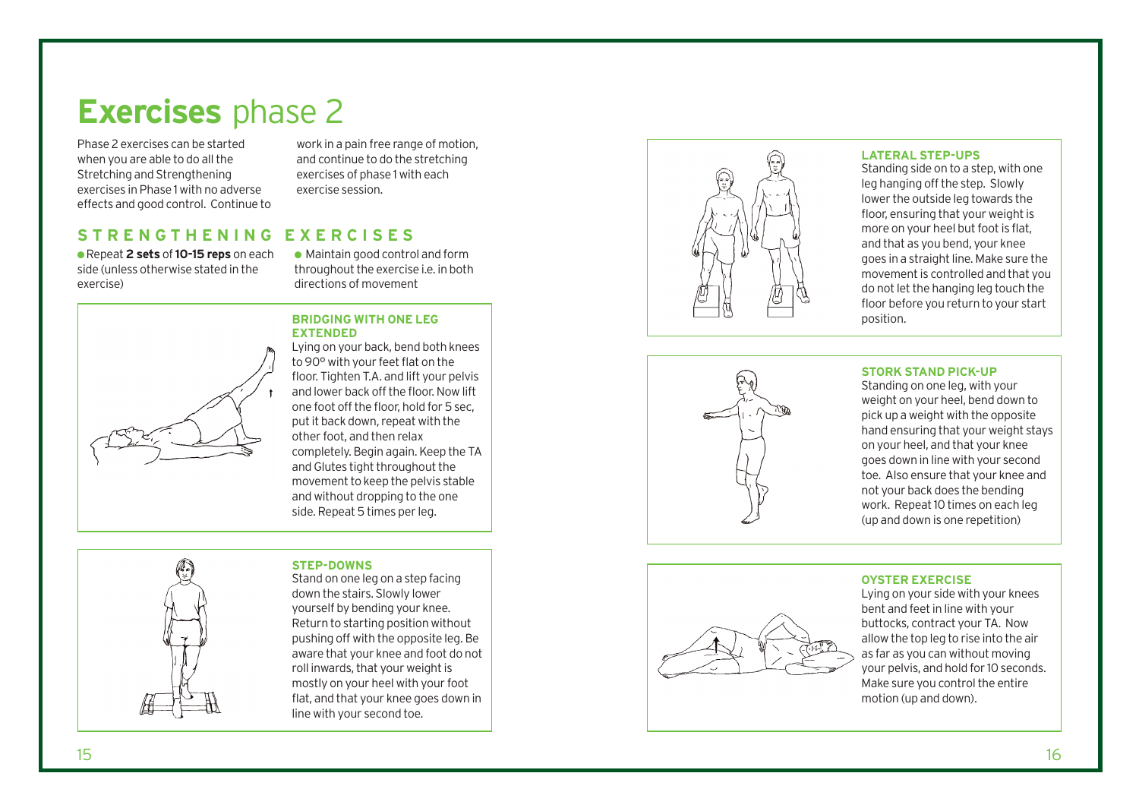# **Exercises** phase 2

Phase 2 exercises can be started when you are able to do all the Stretching and Strengthening exercises in Phase 1 with no adverse effects and good control. Continue to work in a pain free range of motion, and continue to do the stretching exercises of phase 1 with each exercise session.

### **STRENGTHENING EXERCISES**

● Repeat **2 sets** of **10-15 reps** on each side (unless otherwise stated in the exercise)

● Maintain good control and form throughout the exercise i.e. in both directions of movement

### **BRIDGING WITH ONE LE G EXTENDED**

Lying on your back, bend both knees to 90° with your feet flat on the floor. Tighten T.A. and lift your pelvis and lo wer back off the floor. Now lift one foot off the floor, hold for 5 sec, put it back down, repeat with the other foot, and then relax completely. Begin again. Keep the TA and Glutes tight throughout the movement to keep the pelvis stable and without dropping to the one side. Repeat 5 times per leg.

### **STEP-DOWNS**

Stand on one leg on a step facing down the stairs. Slowly lower yourself by bending your knee. Return to starting position without pushing off with the opposite leg. Be aware that your knee and foot do not roll inwards, that your weight is mostly on your heel with your foot flat, and that your knee goes down in line with your second toe.



#### **LATERAL STEP-UPS**

Standing side on to a step, with one leg hanging off the step. Slowly lower the outside leg towards the floor, ensuring that your weight is more on your heel but foot is flat, and that as you bend, your knee goes in a straight line. Make sure the movement is controlled and that you do not let the hanging leg touch the floor before you return to your start position.



#### **STORK STAND PICK-UP**

Standing on one leg, with your weight on your heel, bend down to pick up a weight with the opposite hand ensuring that your weight stays on your heel, and that your knee goes down in line with your second toe. Also ensure that your knee and not your back does the bending work. Repeat 10 times on each leg (up and down is one repetition)



#### **OYSTER EXERCISE**

Lying on your side with your knees bent and feet in line with your but tock s, contract your TA. Now allow the top leg to rise into the air as far as you can without moving your pelvis, and hold for 10 seconds. Make sure you control the entire motion (up and down).